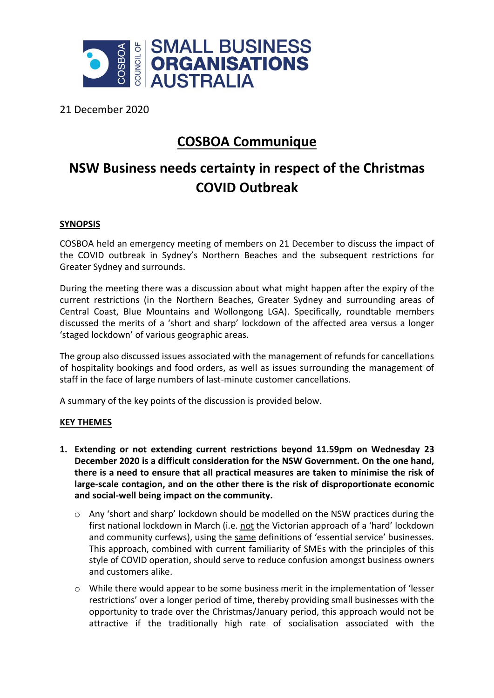

21 December 2020

## **COSBOA Communique**

## **NSW Business needs certainty in respect of the Christmas COVID Outbreak**

## **SYNOPSIS**

COSBOA held an emergency meeting of members on 21 December to discuss the impact of the COVID outbreak in Sydney's Northern Beaches and the subsequent restrictions for Greater Sydney and surrounds.

During the meeting there was a discussion about what might happen after the expiry of the current restrictions (in the Northern Beaches, Greater Sydney and surrounding areas of Central Coast, Blue Mountains and Wollongong LGA). Specifically, roundtable members discussed the merits of a 'short and sharp' lockdown of the affected area versus a longer 'staged lockdown' of various geographic areas.

The group also discussed issues associated with the management of refunds for cancellations of hospitality bookings and food orders, as well as issues surrounding the management of staff in the face of large numbers of last-minute customer cancellations.

A summary of the key points of the discussion is provided below.

## **KEY THEMES**

- **1. Extending or not extending current restrictions beyond 11.59pm on Wednesday 23 December 2020 is a difficult consideration for the NSW Government. On the one hand, there is a need to ensure that all practical measures are taken to minimise the risk of large-scale contagion, and on the other there is the risk of disproportionate economic and social-well being impact on the community.**
	- $\circ$  Any 'short and sharp' lockdown should be modelled on the NSW practices during the first national lockdown in March (i.e. not the Victorian approach of a 'hard' lockdown and community curfews), using the same definitions of 'essential service' businesses. This approach, combined with current familiarity of SMEs with the principles of this style of COVID operation, should serve to reduce confusion amongst business owners and customers alike.
	- o While there would appear to be some business merit in the implementation of 'lesser restrictions' over a longer period of time, thereby providing small businesses with the opportunity to trade over the Christmas/January period, this approach would not be attractive if the traditionally high rate of socialisation associated with the